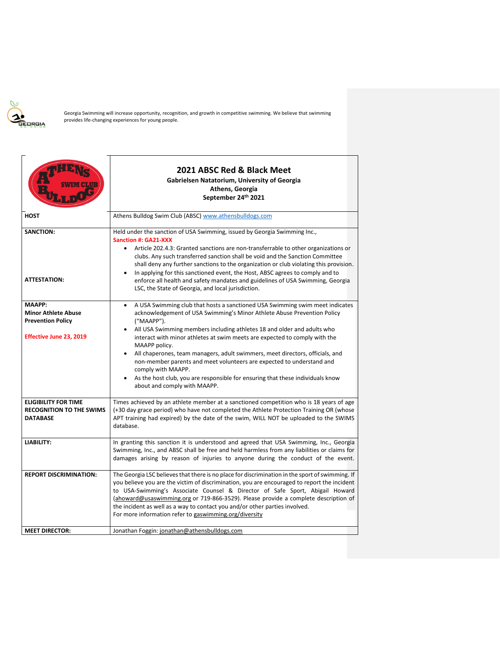

Georgia Swimming will increase opportunity, recognition, and growth in competitive swimming. We believe that swimming provides life-changing experiences for young people.

|                                                                                                                                                      | 2021 ABSC Red & Black Meet<br>Gabrielsen Natatorium, University of Georgia<br>Athens, Georgia<br>September 24 <sup>th</sup> 2021                                                                                                                                                                                                                                                                                                                                                                                                                                                                                                                                                                                                                                                                                                                                                                                                                      |  |
|------------------------------------------------------------------------------------------------------------------------------------------------------|-------------------------------------------------------------------------------------------------------------------------------------------------------------------------------------------------------------------------------------------------------------------------------------------------------------------------------------------------------------------------------------------------------------------------------------------------------------------------------------------------------------------------------------------------------------------------------------------------------------------------------------------------------------------------------------------------------------------------------------------------------------------------------------------------------------------------------------------------------------------------------------------------------------------------------------------------------|--|
| <b>HOST</b>                                                                                                                                          | Athens Bulldog Swim Club (ABSC) www.athensbulldogs.com                                                                                                                                                                                                                                                                                                                                                                                                                                                                                                                                                                                                                                                                                                                                                                                                                                                                                                |  |
| <b>SANCTION:</b><br><b>ATTESTATION:</b><br><b>MAAPP:</b><br><b>Minor Athlete Abuse</b><br><b>Prevention Policy</b><br><b>Effective June 23, 2019</b> | Held under the sanction of USA Swimming, issued by Georgia Swimming Inc.,<br><b>Sanction #: GA21-XXX</b><br>Article 202.4.3: Granted sanctions are non-transferrable to other organizations or<br>clubs. Any such transferred sanction shall be void and the Sanction Committee<br>shall deny any further sanctions to the organization or club violating this provision.<br>In applying for this sanctioned event, the Host, ABSC agrees to comply and to<br>enforce all health and safety mandates and guidelines of USA Swimming, Georgia<br>LSC, the State of Georgia, and local jurisdiction.<br>A USA Swimming club that hosts a sanctioned USA Swimming swim meet indicates<br>acknowledgement of USA Swimming's Minor Athlete Abuse Prevention Policy<br>("MAAPP").<br>All USA Swimming members including athletes 18 and older and adults who<br>interact with minor athletes at swim meets are expected to comply with the<br>MAAPP policy. |  |
|                                                                                                                                                      | All chaperones, team managers, adult swimmers, meet directors, officials, and<br>$\bullet$<br>non-member parents and meet volunteers are expected to understand and<br>comply with MAAPP.<br>As the host club, you are responsible for ensuring that these individuals know<br>about and comply with MAAPP.                                                                                                                                                                                                                                                                                                                                                                                                                                                                                                                                                                                                                                           |  |
| <b>ELIGIBILITY FOR TIME</b><br><b>RECOGNITION TO THE SWIMS</b><br><b>DATABASE</b>                                                                    | Times achieved by an athlete member at a sanctioned competition who is 18 years of age<br>(+30 day grace period) who have not completed the Athlete Protection Training OR (whose<br>APT training had expired) by the date of the swim, WILL NOT be uploaded to the SWIMS<br>database.                                                                                                                                                                                                                                                                                                                                                                                                                                                                                                                                                                                                                                                                |  |
| <b>LIABILITY:</b>                                                                                                                                    | In granting this sanction it is understood and agreed that USA Swimming, Inc., Georgia<br>Swimming, Inc., and ABSC shall be free and held harmless from any liabilities or claims for<br>damages arising by reason of injuries to anyone during the conduct of the event.                                                                                                                                                                                                                                                                                                                                                                                                                                                                                                                                                                                                                                                                             |  |
| <b>REPORT DISCRIMINATION:</b>                                                                                                                        | The Georgia LSC believes that there is no place for discrimination in the sport of swimming. If<br>you believe you are the victim of discrimination, you are encouraged to report the incident<br>to USA-Swimming's Associate Counsel & Director of Safe Sport, Abigail Howard<br>(ahoward@usaswimming.org or 719-866-3529). Please provide a complete description of<br>the incident as well as a way to contact you and/or other parties involved.<br>For more information refer to gaswimming.org/diversity                                                                                                                                                                                                                                                                                                                                                                                                                                        |  |
| <b>MEET DIRECTOR:</b>                                                                                                                                | Jonathan Foggin: jonathan@athensbulldogs.com                                                                                                                                                                                                                                                                                                                                                                                                                                                                                                                                                                                                                                                                                                                                                                                                                                                                                                          |  |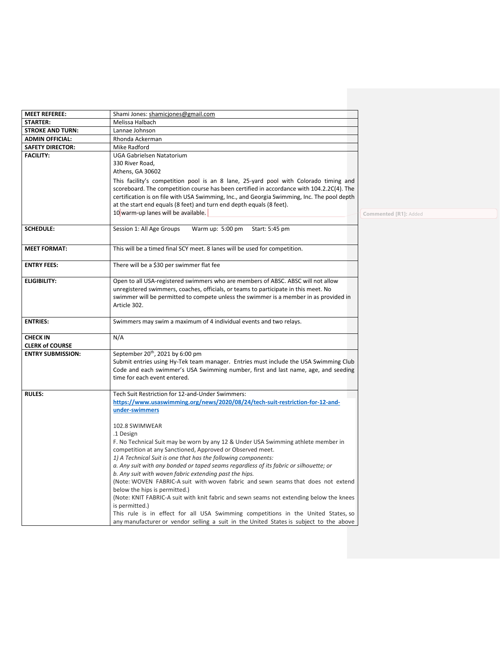| <b>MEET REFEREE:</b>     |                                                                                                                                                                             |                              |
|--------------------------|-----------------------------------------------------------------------------------------------------------------------------------------------------------------------------|------------------------------|
| <b>STARTER:</b>          | Shami Jones: shamicjones@gmail.com<br>Melissa Halbach                                                                                                                       |                              |
| <b>STROKE AND TURN:</b>  | Lannae Johnson                                                                                                                                                              |                              |
| <b>ADMIN OFFICIAL:</b>   | Rhonda Ackerman                                                                                                                                                             |                              |
| <b>SAFETY DIRECTOR:</b>  | Mike Radford                                                                                                                                                                |                              |
| <b>FACILITY:</b>         | UGA Gabrielsen Natatorium                                                                                                                                                   |                              |
|                          | 330 River Road,                                                                                                                                                             |                              |
|                          | Athens, GA 30602                                                                                                                                                            |                              |
|                          | This facility's competition pool is an 8 lane, 25-yard pool with Colorado timing and                                                                                        |                              |
|                          | scoreboard. The competition course has been certified in accordance with 104.2.2C(4). The                                                                                   |                              |
|                          | certification is on file with USA Swimming, Inc., and Georgia Swimming, Inc. The pool depth                                                                                 |                              |
|                          | at the start end equals (8 feet) and turn end depth equals (8 feet).                                                                                                        |                              |
|                          | 10 warm-up lanes will be available.                                                                                                                                         | <b>Commented [R1]: Added</b> |
|                          |                                                                                                                                                                             |                              |
| <b>SCHEDULE:</b>         | Session 1: All Age Groups<br>Warm up: 5:00 pm<br>Start: 5:45 pm                                                                                                             |                              |
|                          |                                                                                                                                                                             |                              |
| <b>MEET FORMAT:</b>      | This will be a timed final SCY meet. 8 lanes will be used for competition.                                                                                                  |                              |
|                          |                                                                                                                                                                             |                              |
| <b>ENTRY FEES:</b>       | There will be a \$30 per swimmer flat fee                                                                                                                                   |                              |
|                          |                                                                                                                                                                             |                              |
| <b>ELIGIBILITY:</b>      | Open to all USA-registered swimmers who are members of ABSC. ABSC will not allow                                                                                            |                              |
|                          | unregistered swimmers, coaches, officials, or teams to participate in this meet. No                                                                                         |                              |
|                          | swimmer will be permitted to compete unless the swimmer is a member in as provided in                                                                                       |                              |
|                          | Article 302.                                                                                                                                                                |                              |
| <b>ENTRIES:</b>          | Swimmers may swim a maximum of 4 individual events and two relays.                                                                                                          |                              |
|                          |                                                                                                                                                                             |                              |
| <b>CHECK IN</b>          | N/A                                                                                                                                                                         |                              |
| <b>CLERK of COURSE</b>   |                                                                                                                                                                             |                              |
| <b>ENTRY SUBMISSION:</b> | September 20 <sup>th</sup> , 2021 by 6:00 pm                                                                                                                                |                              |
|                          | Submit entries using Hy-Tek team manager. Entries must include the USA Swimming Club                                                                                        |                              |
|                          | Code and each swimmer's USA Swimming number, first and last name, age, and seeding                                                                                          |                              |
|                          | time for each event entered.                                                                                                                                                |                              |
|                          |                                                                                                                                                                             |                              |
|                          |                                                                                                                                                                             |                              |
| <b>RULES:</b>            | Tech Suit Restriction for 12-and-Under Swimmers:                                                                                                                            |                              |
|                          | https://www.usaswimming.org/news/2020/08/24/tech-suit-restriction-for-12-and-                                                                                               |                              |
|                          | under-swimmers                                                                                                                                                              |                              |
|                          | 102.8 SWIMWEAR                                                                                                                                                              |                              |
|                          | .1 Design                                                                                                                                                                   |                              |
|                          | F. No Technical Suit may be worn by any 12 & Under USA Swimming athlete member in                                                                                           |                              |
|                          | competition at any Sanctioned, Approved or Observed meet.                                                                                                                   |                              |
|                          | 1) A Technical Suit is one that has the following components:                                                                                                               |                              |
|                          | a. Any suit with any bonded or taped seams regardless of its fabric or silhouette; or                                                                                       |                              |
|                          | b. Any suit with woven fabric extending past the hips.                                                                                                                      |                              |
|                          | (Note: WOVEN FABRIC-A suit with woven fabric and sewn seams that does not extend                                                                                            |                              |
|                          | below the hips is permitted.)                                                                                                                                               |                              |
|                          | (Note: KNIT FABRIC-A suit with knit fabric and sewn seams not extending below the knees                                                                                     |                              |
|                          | is permitted.)                                                                                                                                                              |                              |
|                          | This rule is in effect for all USA Swimming competitions in the United States, so<br>any manufacturer or vendor selling a suit in the United States is subject to the above |                              |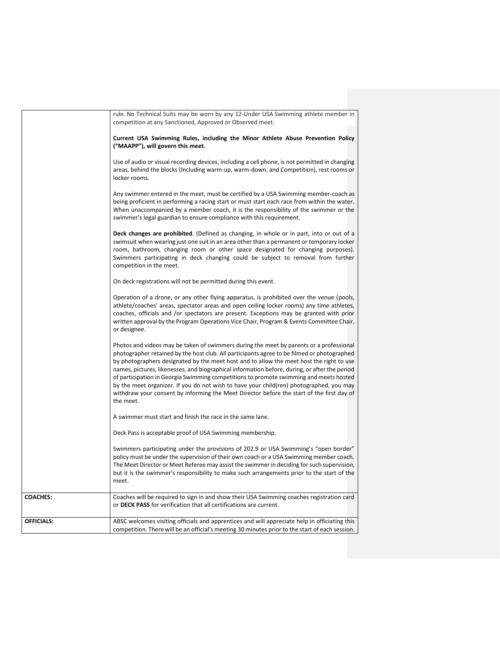|                   | rule. No Technical Suits may be worn by any 12-Under USA Swimming athlete member in<br>competition at any Sanctioned, Approved or Observed meet.                                                                                                                                                                                                                                                                                                                                                                                                                                                                                                                                   |
|-------------------|------------------------------------------------------------------------------------------------------------------------------------------------------------------------------------------------------------------------------------------------------------------------------------------------------------------------------------------------------------------------------------------------------------------------------------------------------------------------------------------------------------------------------------------------------------------------------------------------------------------------------------------------------------------------------------|
|                   | Current USA Swimming Rules, including the Minor Athlete Abuse Prevention Policy<br>("MAAPP"), will govern this meet.                                                                                                                                                                                                                                                                                                                                                                                                                                                                                                                                                               |
|                   | Use of audio or visual recording devices, including a cell phone, is not permitted in changing<br>areas, behind the blocks (Including warm-up, warm-down, and Competition), rest rooms or<br>locker rooms.                                                                                                                                                                                                                                                                                                                                                                                                                                                                         |
|                   | Any swimmer entered in the meet, must be certified by a USA Swimming member-coach as<br>being proficient in performing a racing start or must start each race from within the water.<br>When unaccompanied by a member coach, it is the responsibility of the swimmer or the<br>swimmer's legal guardian to ensure compliance with this requirement.                                                                                                                                                                                                                                                                                                                               |
|                   | <b>Deck changes are prohibited.</b> (Defined as changing, in whole or in part, into or out of a<br>swimsuit when wearing just one suit in an area other than a permanent or temporary locker<br>room, bathroom, changing room or other space designated for changing purposes).<br>Swimmers participating in deck changing could be subject to removal from further<br>competition in the meet.                                                                                                                                                                                                                                                                                    |
|                   | On deck registrations will not be permitted during this event.                                                                                                                                                                                                                                                                                                                                                                                                                                                                                                                                                                                                                     |
|                   | Operation of a drone, or any other flying apparatus, is prohibited over the venue (pools,<br>athlete/coaches' areas, spectator areas and open ceiling locker rooms) any time athletes,<br>coaches, officials and /or spectators are present. Exceptions may be granted with prior<br>written approval by the Program Operations Vice Chair, Program & Events Committee Chair,<br>or designee.                                                                                                                                                                                                                                                                                      |
|                   | Photos and videos may be taken of swimmers during the meet by parents or a professional<br>photographer retained by the host club. All participants agree to be filmed or photographed<br>by photographers designated by the meet host and to allow the meet host the right to use<br>names, pictures, likenesses, and biographical information before, during, or after the period<br>of participation in Georgia Swimming competitions to promote swimming and meets hosted<br>by the meet organizer. If you do not wish to have your child(ren) photographed, you may<br>withdraw your consent by informing the Meet Director before the start of the first day of<br>the meet. |
|                   | A swimmer must start and finish the race in the same lane.                                                                                                                                                                                                                                                                                                                                                                                                                                                                                                                                                                                                                         |
|                   | Deck Pass is acceptable proof of USA Swimming membership.                                                                                                                                                                                                                                                                                                                                                                                                                                                                                                                                                                                                                          |
|                   | Swimmers participating under the provisions of 202.9 or USA Swimming's "open border"<br>policy must be under the supervision of their own coach or a USA Swimming member coach.<br>The Meet Director or Meet Referee may assist the swimmer in deciding for such supervision,<br>but it is the swimmer's responsibility to make such arrangements prior to the start of the<br>meet.                                                                                                                                                                                                                                                                                               |
| <b>COACHES:</b>   | Coaches will be required to sign in and show their USA Swimming coaches registration card<br>or DECK PASS for verification that all certifications are current.                                                                                                                                                                                                                                                                                                                                                                                                                                                                                                                    |
| <b>OFFICIALS:</b> | ABSC welcomes visiting officials and apprentices and will appreciate help in officiating this<br>competition. There will be an official's meeting 30 minutes prior to the start of each session.                                                                                                                                                                                                                                                                                                                                                                                                                                                                                   |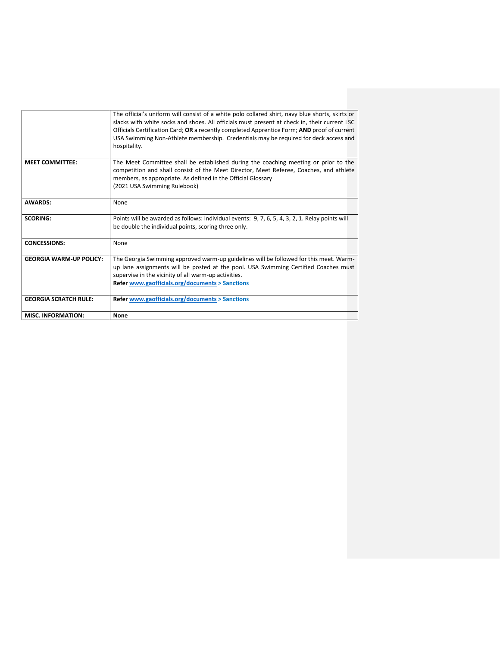| hospitality.<br><b>MEET COMMITTEE:</b><br>members, as appropriate. As defined in the Official Glossary<br>(2021 USA Swimming Rulebook)<br><b>AWARDS:</b><br>None<br><b>SCORING:</b><br>be double the individual points, scoring three only.<br><b>CONCESSIONS:</b><br>None<br><b>GEORGIA WARM-UP POLICY:</b><br>supervise in the vicinity of all warm-up activities.<br><b>Refer www.gaofficials.org/documents &gt; Sanctions</b><br><b>GEORGIA SCRATCH RULE:</b><br>Refer www.gaofficials.org/documents > Sanctions | <b>MISC. INFORMATION:</b> | None                                                                                                                                                                                                                                                                                                                                                                                   |  |
|----------------------------------------------------------------------------------------------------------------------------------------------------------------------------------------------------------------------------------------------------------------------------------------------------------------------------------------------------------------------------------------------------------------------------------------------------------------------------------------------------------------------|---------------------------|----------------------------------------------------------------------------------------------------------------------------------------------------------------------------------------------------------------------------------------------------------------------------------------------------------------------------------------------------------------------------------------|--|
|                                                                                                                                                                                                                                                                                                                                                                                                                                                                                                                      |                           |                                                                                                                                                                                                                                                                                                                                                                                        |  |
|                                                                                                                                                                                                                                                                                                                                                                                                                                                                                                                      |                           |                                                                                                                                                                                                                                                                                                                                                                                        |  |
|                                                                                                                                                                                                                                                                                                                                                                                                                                                                                                                      |                           | The Georgia Swimming approved warm-up guidelines will be followed for this meet. Warm-<br>up lane assignments will be posted at the pool. USA Swimming Certified Coaches must                                                                                                                                                                                                          |  |
|                                                                                                                                                                                                                                                                                                                                                                                                                                                                                                                      |                           |                                                                                                                                                                                                                                                                                                                                                                                        |  |
|                                                                                                                                                                                                                                                                                                                                                                                                                                                                                                                      |                           | Points will be awarded as follows: Individual events: 9, 7, 6, 5, 4, 3, 2, 1. Relay points will                                                                                                                                                                                                                                                                                        |  |
|                                                                                                                                                                                                                                                                                                                                                                                                                                                                                                                      |                           |                                                                                                                                                                                                                                                                                                                                                                                        |  |
|                                                                                                                                                                                                                                                                                                                                                                                                                                                                                                                      |                           | The Meet Committee shall be established during the coaching meeting or prior to the<br>competition and shall consist of the Meet Director, Meet Referee, Coaches, and athlete                                                                                                                                                                                                          |  |
|                                                                                                                                                                                                                                                                                                                                                                                                                                                                                                                      |                           | The official's uniform will consist of a white polo collared shirt, navy blue shorts, skirts or<br>slacks with white socks and shoes. All officials must present at check in, their current LSC<br>Officials Certification Card; OR a recently completed Apprentice Form; AND proof of current<br>USA Swimming Non-Athlete membership. Credentials may be required for deck access and |  |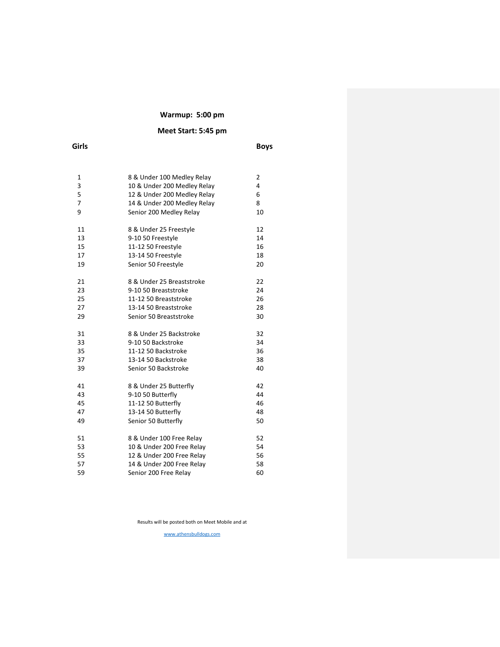## **Warmup: 5:00 pm**

## **Meet Start: 5:45 pm**

| Girls          |                             | <b>Boys</b> |
|----------------|-----------------------------|-------------|
|                |                             |             |
| 1              | 8 & Under 100 Medley Relay  | 2           |
| 3              | 10 & Under 200 Medley Relay | 4           |
| 5              | 12 & Under 200 Medley Relay | 6           |
| $\overline{7}$ | 14 & Under 200 Medley Relay | 8           |
| 9              | Senior 200 Medley Relay     | 10          |
| 11             | 8 & Under 25 Freestyle      | 12          |
| 13             | 9-10 50 Freestyle           | 14          |
| 15             | 11-12 50 Freestyle          | 16          |
| 17             | 13-14 50 Freestyle          | 18          |
| 19             | Senior 50 Freestyle         | 20          |
| 21             | 8 & Under 25 Breaststroke   | 22          |
| 23             | 9-10 50 Breaststroke        | 24          |
| 25             | 11-12 50 Breaststroke       | 26          |
| 27             | 13-14 50 Breaststroke       | 28          |
| 29             | Senior 50 Breaststroke      | 30          |
| 31             | 8 & Under 25 Backstroke     | 32          |
| 33             | 9-10 50 Backstroke          | 34          |
| 35             | 11-12 50 Backstroke         | 36          |
| 37             | 13-14 50 Backstroke         | 38          |
| 39             | Senior 50 Backstroke        | 40          |
| 41             | 8 & Under 25 Butterfly      | 42          |
| 43             | 9-10 50 Butterfly           | 44          |
| 45             | 11-12 50 Butterfly          | 46          |
| 47             | 13-14 50 Butterfly          | 48          |
| 49             | Senior 50 Butterfly         | 50          |
| 51             | 8 & Under 100 Free Relay    | 52          |
| 53             | 10 & Under 200 Free Relay   | 54          |
| 55             | 12 & Under 200 Free Relay   | 56          |
| 57             | 14 & Under 200 Free Relay   | 58          |
| 59             | Senior 200 Free Relay       | 60          |
|                |                             |             |

Results will be posted both on Meet Mobile and at

[www.athensbulldogs.com](http://www.athensbulldogs.com/)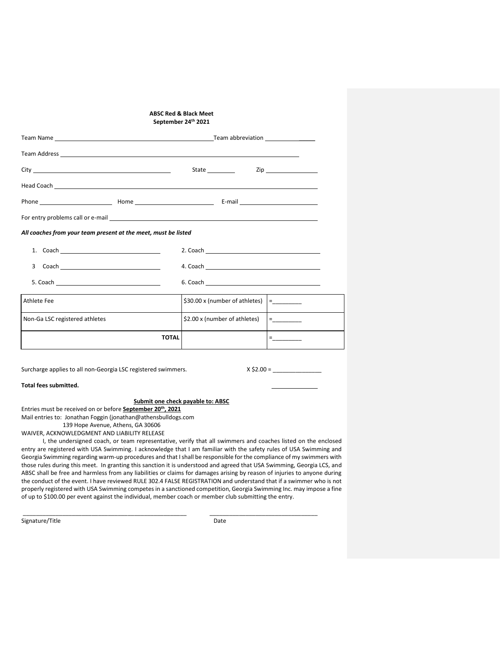|                                                                                                                                                                                                                                      | <b>ABSC Red &amp; Black Meet</b><br>September 24th 2021                                                                                                                                                                        |                                                                                                      |
|--------------------------------------------------------------------------------------------------------------------------------------------------------------------------------------------------------------------------------------|--------------------------------------------------------------------------------------------------------------------------------------------------------------------------------------------------------------------------------|------------------------------------------------------------------------------------------------------|
| Team Name <b>The Contract of Contract Contract Contract Contract Contract Contract Contract Contract Contract Contract Contract Contract Contract Contract Contract Contract Contract Contract Contract Contract Contract Contra</b> |                                                                                                                                                                                                                                |                                                                                                      |
| Team Address experience and the contract of the contract of the contract of the contract of the contract of the contract of the contract of the contract of the contract of the contract of the contract of the contract of th       |                                                                                                                                                                                                                                |                                                                                                      |
|                                                                                                                                                                                                                                      | State ____________                                                                                                                                                                                                             | Zip ___________________                                                                              |
|                                                                                                                                                                                                                                      |                                                                                                                                                                                                                                |                                                                                                      |
|                                                                                                                                                                                                                                      |                                                                                                                                                                                                                                |                                                                                                      |
|                                                                                                                                                                                                                                      |                                                                                                                                                                                                                                |                                                                                                      |
| All coaches from your team present at the meet, must be listed                                                                                                                                                                       |                                                                                                                                                                                                                                |                                                                                                      |
|                                                                                                                                                                                                                                      | 2. Coach and the contract of the contract of the contract of the contract of the contract of the contract of the contract of the contract of the contract of the contract of the contract of the contract of the contract of t |                                                                                                      |
|                                                                                                                                                                                                                                      |                                                                                                                                                                                                                                |                                                                                                      |
|                                                                                                                                                                                                                                      |                                                                                                                                                                                                                                |                                                                                                      |
| Athlete Fee                                                                                                                                                                                                                          | \$30.00 x (number of athletes)                                                                                                                                                                                                 | $= \underbrace{\qquad \qquad }_{\textbf{0}}\qquad \qquad \qquad \qquad$                              |
| Non-Ga LSC registered athletes                                                                                                                                                                                                       | \$2.00 x (number of athletes)                                                                                                                                                                                                  | $= \underbrace{\qquad \qquad }_{\qquad \qquad \qquad }=\underbrace{\qquad \qquad }_{\qquad \qquad }$ |
| <b>TOTAL</b>                                                                                                                                                                                                                         |                                                                                                                                                                                                                                | Fig. 1995                                                                                            |
|                                                                                                                                                                                                                                      |                                                                                                                                                                                                                                |                                                                                                      |

Surcharge applies to all non-Georgia LSC registered swimmers.

| x \$2.00 = |  |
|------------|--|
|------------|--|

**Total fees submitted.** 

## **Submit one check payable to: ABSC**

Entries must be received on or before **September 20th, 2021** Mail entries to: Jonathan Foggin (jonathan@athensbulldogs.com 139 Hope Avenue, Athens, GA 30606

WAIVER, ACKNOWLEDGMENT AND LIABILITY RELEASE

I, the undersigned coach, or team representative, verify that all swimmers and coaches listed on the enclosed entry are registered with USA Swimming. I acknowledge that I am familiar with the safety rules of USA Swimming and Georgia Swimming regarding warm-up procedures and that I shall be responsible for the compliance of my swimmers with those rules during this meet. In granting this sanction it is understood and agreed that USA Swimming, Georgia LCS, and ABSC shall be free and harmless from any liabilities or claims for damages arising by reason of injuries to anyone during the conduct of the event. I have reviewed RULE 302.4 FALSE REGISTRATION and understand that if a swimmer who is not properly registered with USA Swimming competes in a sanctioned competition, Georgia Swimming Inc. may impose a fine of up to \$100.00 per event against the individual, member coach or member club submitting the entry.

\_\_\_\_\_\_\_\_\_\_\_\_\_\_\_\_\_\_\_\_\_\_\_\_\_\_\_\_\_\_\_\_\_\_\_\_\_\_\_\_\_\_\_\_\_\_\_\_\_\_ \_\_\_\_\_\_\_\_\_\_\_\_\_\_\_\_\_\_\_\_\_\_\_\_\_\_\_\_\_\_\_\_\_

Signature/Title Date